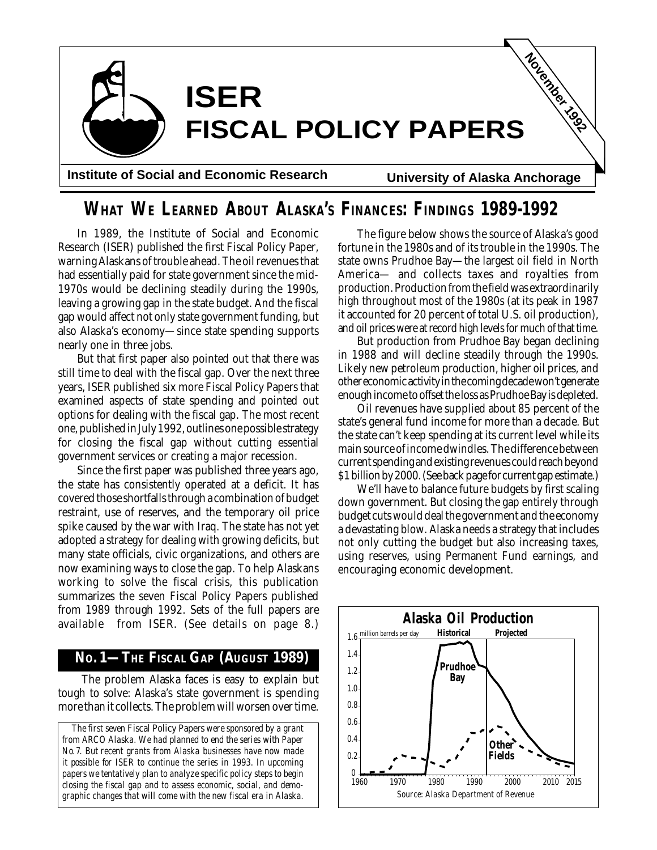

#### **WHAT WE LEARNED ABOUT ALASKA'S FINANCES: FINDINGS 1989-1992**

In 1989, the Institute of Social and Economic Research (ISER) published the first Fiscal Policy Paper, warning Alaskans of trouble ahead. The oil revenues that had essentially paid for state government since the mid-1970s would be declining steadily during the 1990s, leaving a growing gap in the state budget. And the fiscal gap would affect not only state government funding, but also Alaska's economy—since state spending supports nearly one in three jobs.

But that first paper also pointed out that there was still time to deal with the fiscal gap. Over the next three years, ISER published six more Fiscal Policy Papers that examined aspects of state spending and pointed out options for dealing with the fiscal gap. The most recent one, published in July 1992, outlines one possible strategy for closing the fiscal gap without cutting essential government services or creating a major recession.

Since the first paper was published three years ago, the state has consistently operated at a deficit. It has covered those shortfalls through a combination of budget restraint, use of reserves, and the temporary oil price spike caused by the war with Iraq. The state has not yet adopted a strategy for dealing with growing deficits, but many state officials, civic organizations, and others are now examining ways to close the gap. To help Alaskans working to solve the fiscal crisis, this publication summarizes the seven Fiscal Policy Papers published from 1989 through 1992. Sets of the full papers are available from ISER. (See details on page 8.)

#### **NO. 1—THE FISCAL GAP (AUGUST 1989)**

 The problem Alaska faces is easy to explain but tough to solve: Alaska's state government is spending more than it collects. The problem will worsen over time.

*The first seven* Fiscal Policy Papers *were sponsored by a grant from ARCO Alaska. We had planned to end the series with Paper No. 7. But recent grants from Alaska businesses have now made it possible for ISER to continue the series in 1993. In upcoming papers we tentatively plan to analyze specific policy steps to begin closing the fiscal gap and to assess economic, social, and demographic changes that will come with the new fiscal era in Alaska.*

The figure below shows the source of Alaska's good fortune in the 1980s and of its trouble in the 1990s. The state owns Prudhoe Bay—the largest oil field in North America— and collects taxes and royalties from production. Production from the field was extraordinarily high throughout most of the 1980s (at its peak in 1987 it accounted for 20 percent of total U.S. oil production), and oil prices were at record high levels for much of that time.

But production from Prudhoe Bay began declining in 1988 and will decline steadily through the 1990s. Likely new petroleum production, higher oil prices, and other economic activity in the coming decade won't generate enough income to offset the loss as Prudhoe Bay is depleted.

Oil revenues have supplied about 85 percent of the state's general fund income for more than a decade. But the state can't keep spending at its current level while its main source of income dwindles. The difference between current spending and existing revenues could reach beyond \$1 billion by 2000. (See back page for current gap estimate.)

We'll have to balance future budgets by first scaling down government. But closing the gap entirely through budget cuts would deal the government and the economy a devastating blow. Alaska needs a strategy that includes not only cutting the budget but also increasing taxes, using reserves, using Permanent Fund earnings, and encouraging economic development.

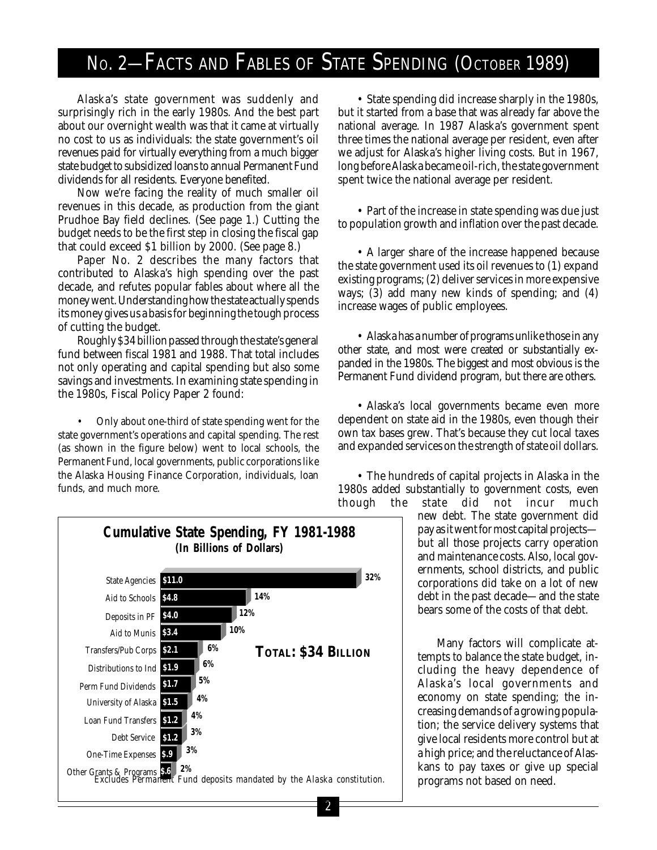### No. 2-FACTS AND FABLES OF STATE SPENDING (OCTOBER 1989)

Alaska's state government was suddenly and surprisingly rich in the early 1980s. And the best part about our overnight wealth was that it came at virtually no cost to us as individuals: the state government's oil revenues paid for virtually everything from a much bigger state budget to subsidized loans to annual Permanent Fund dividends for all residents. Everyone benefited.

Now we're facing the reality of much smaller oil revenues in this decade, as production from the giant Prudhoe Bay field declines. (See page 1.) Cutting the budget needs to be the first step in closing the fiscal gap that could exceed \$1 billion by 2000. (See page 8.)

Paper No. 2 describes the many factors that contributed to Alaska's high spending over the past decade, and refutes popular fables about where all the money went. Understanding how the state actually spends its money gives us a basis for beginning the tough process of cutting the budget.

Roughly \$34 billion passed through the state's general fund between fiscal 1981 and 1988. That total includes not only operating and capital spending but also some savings and investments. In examining state spending in the 1980s, Fiscal Policy Paper 2 found:

• Only about one-third of state spending went for the state government's operations and capital spending. The rest (as shown in the figure below) went to local schools, the Permanent Fund, local governments, public corporations like the Alaska Housing Finance Corporation, individuals, loan funds, and much more.

• State spending did increase sharply in the 1980s, but it started from a base that was already far above the national average. In 1987 Alaska's government spent three times the national average per resident, even after we adjust for Alaska's higher living costs. But in 1967, long before Alaska became oil-rich, the state government spent twice the national average per resident.

• Part of the increase in state spending was due just to population growth and inflation over the past decade.

• A larger share of the increase happened because the state government used its oil revenues to (1) expand existing programs; (2) deliver services in more expensive ways; (3) add many new kinds of spending; and (4) increase wages of public employees.

• Alaska has a number of programs unlike those in any other state, and most were created or substantially expanded in the 1980s. The biggest and most obvious is the Permanent Fund dividend program, but there are others.

• Alaska's local governments became even more dependent on state aid in the 1980s, even though their own tax bases grew. That's because they cut local taxes and expanded services on the strength of state oil dollars.

• The hundreds of capital projects in Alaska in the 1980s added substantially to government costs, even

though the state did not incur much new debt. The state government did pay as it went for most capital projects but all those projects carry operation and maintenance costs. Also, local governments, school districts, and public corporations did take on a lot of new debt in the past decade—and the state bears some of the costs of that debt.

> Many factors will complicate attempts to balance the state budget, including the heavy dependence of Alaska's local governments and economy on state spending; the increasing demands of a growing population; the service delivery systems that give local residents more control but at a high price; and the reluctance of Alaskans to pay taxes or give up special programs not based on need.

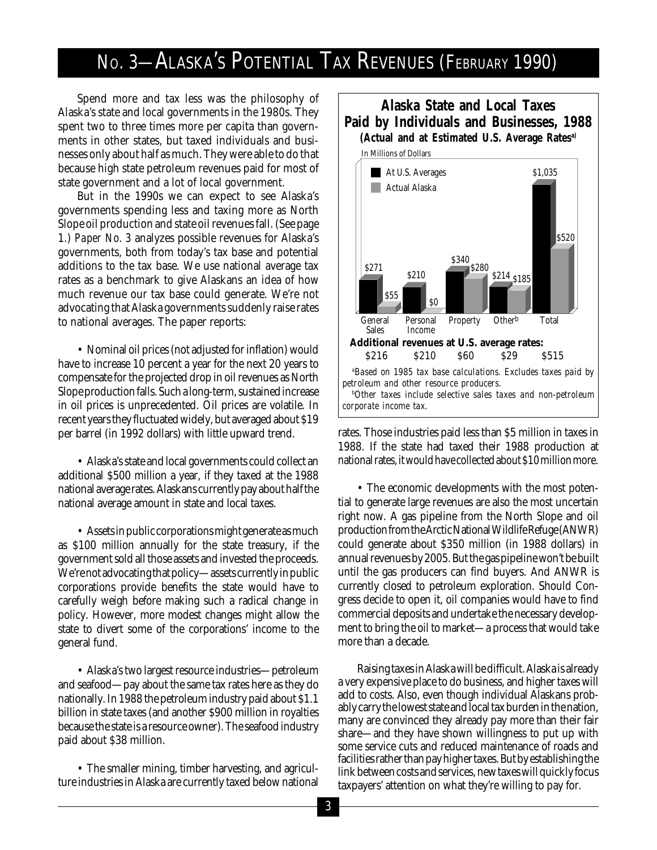#### NO. 3—ALASKA'S POTENTIAL TAX REVENUES (FEBRUARY 1990)

Spend more and tax less was the philosophy of Alaska's state and local governments in the 1980s. They spent two to three times more per capita than governments in other states, but taxed individuals and businesses only about half as much. They were able to do that because high state petroleum revenues paid for most of state government and a lot of local government.

But in the 1990s we can expect to see Alaska's governments spending less and taxing more as North Slope oil production and state oil revenues fall. (See page 1.) *Paper No. 3* analyzes possible revenues for Alaska's governments, both from today's tax base and potential additions to the tax base. We use national average tax rates as a benchmark to give Alaskans an idea of how much revenue our tax base could generate. We're not advocating that Alaska governments suddenly raise rates to national averages. The paper reports:

• Nominal oil prices (not adjusted for inflation) would have to increase 10 percent a year for the next 20 years to compensate for the projected drop in oil revenues as North Slope production falls. Such a long-term, sustained increase in oil prices is unprecedented. Oil prices are volatile. In recent years they fluctuated widely, but averaged about \$19 per barrel (in 1992 dollars) with little upward trend.

• Alaska's state and local governments could collect an additional \$500 million a year, if they taxed at the 1988 national average rates. Alaskans currently pay about half the national average amount in state and local taxes.

• Assets in public corporations might generate as much as \$100 million annually for the state treasury, if the government sold all those assets and invested the proceeds. We're not advocating that policy—assets currently in public corporations provide benefits the state would have to carefully weigh before making such a radical change in policy. However, more modest changes might allow the state to divert some of the corporations' income to the general fund.

• Alaska's two largest resource industries—petroleum and seafood—pay about the same tax rates here as they do nationally. In 1988 the petroleum industry paid about \$1.1 billion in state taxes (and another \$900 million in royalties because the state is a resource owner). The seafood industry paid about \$38 million.

• The smaller mining, timber harvesting, and agriculture industries in Alaska are currently taxed below national



rates. Those industries paid less than \$5 million in taxes in 1988. If the state had taxed their 1988 production at national rates, it would have collected about \$10 million more.

• The economic developments with the most potential to generate large revenues are also the most uncertain right now. A gas pipeline from the North Slope and oil production from the Arctic National Wildlife Refuge (ANWR) could generate about \$350 million (in 1988 dollars) in annual revenues by 2005. But the gas pipeline won't be built until the gas producers can find buyers. And ANWR is currently closed to petroleum exploration. Should Congress decide to open it, oil companies would have to find commercial deposits and undertake the necessary development to bring the oil to market—a process that would take more than a decade.

Raising taxes in Alaska will be difficult. Alaska is already a very expensive place to do business, and higher taxes will add to costs. Also, even though individual Alaskans probably carry the lowest state and local tax burden in the nation, many are convinced they already pay more than their fair share—and they have shown willingness to put up with some service cuts and reduced maintenance of roads and facilities rather than pay higher taxes. But by establishing the link between costs and services, new taxes will quickly focus taxpayers' attention on what they're willing to pay for.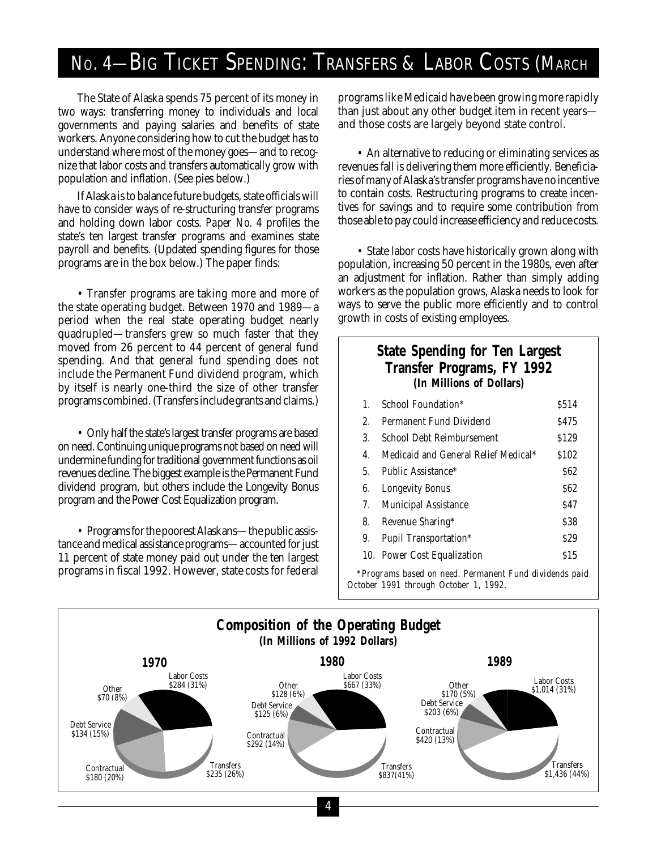# No. 4-BIG TICKET SPENDING: TRANSFERS & LABOR COSTS (MARCH

The State of Alaska spends 75 percent of its money in two ways: transferring money to individuals and local governments and paying salaries and benefits of state workers. Anyone considering how to cut the budget has to understand where most of the money goes—and to recognize that labor costs and transfers automatically grow with population and inflation. (See pies below.)

If Alaska is to balance future budgets, state officials will have to consider ways of re-structuring transfer programs and holding down labor costs. *Paper No. 4* profiles the state's ten largest transfer programs and examines state payroll and benefits. (Updated spending figures for those programs are in the box below.) The paper finds:

• Transfer programs are taking more and more of the state operating budget. Between 1970 and 1989—a period when the real state operating budget nearly quadrupled—transfers grew so much faster that they moved from 26 percent to 44 percent of general fund spending. And that general fund spending does not include the Permanent Fund dividend program, which by itself is nearly one-third the size of other transfer programs combined. (Transfers include grants and claims.)

• Only half the state's largest transfer programs are based on need. Continuing unique programs not based on need will undermine funding for traditional government functions as oil revenues decline. The biggest example is the Permanent Fund dividend program, but others include the Longevity Bonus program and the Power Cost Equalization program.

• Programs for the poorest Alaskans—the public assistance and medical assistance programs—accounted for just 11 percent of state money paid out under the ten largest programs in fiscal 1992. However, state costs for federal programs like Medicaid have been growing more rapidly than just about any other budget item in recent years and those costs are largely beyond state control.

• An alternative to reducing or eliminating services as revenues fall is delivering them more efficiently. Beneficiaries of many of Alaska's transfer programs have no incentive to contain costs. Restructuring programs to create incentives for savings and to require some contribution from those able to pay could increase efficiency and reduce costs.

• State labor costs have historically grown along with population, increasing 50 percent in the 1980s, even after an adjustment for inflation. Rather than simply adding workers as the population grows, Alaska needs to look for ways to serve the public more efficiently and to control growth in costs of existing employees.

#### **State Spending for Ten Largest Transfer Programs, FY 1992 (In Millions of Dollars)**

| 1. | School Foundation*                   | \$514 |
|----|--------------------------------------|-------|
| 2. | Permanent Fund Dividend              | \$475 |
| 3. | <b>School Debt Reimbursement</b>     | \$129 |
| 4. | Medicaid and General Relief Medical* | \$102 |
| 5. | Public Assistance*                   | \$62  |
| 6. | <b>Longevity Bonus</b>               | \$62  |
| 7. | <b>Municipal Assistance</b>          | \$47  |
| 8. | Revenue Sharing*                     | \$38  |
| 9. | <b>Pupil Transportation*</b>         | \$29  |
|    | 10. Power Cost Equalization          | \$15  |

*\*Programs based on need. Permanent Fund dividends paid October 1991 through October 1, 1992.*

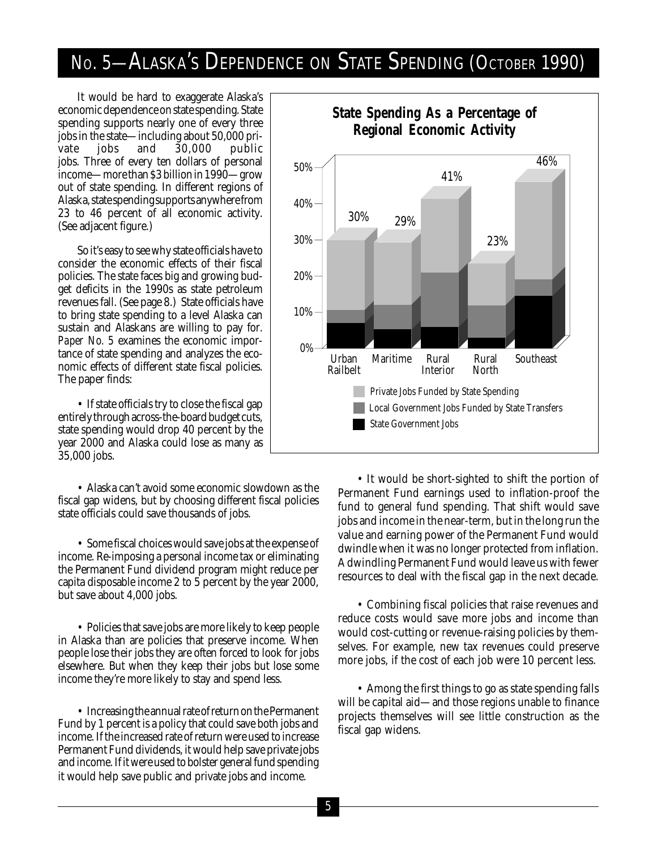### NO. 5—ALASKA'S DEPENDENCE ON STATE SPENDING (OCTOBER 1990)

It would be hard to exaggerate Alaska's economic dependence on state spending. State spending supports nearly one of every three jobs in the state—including about 50,000 private jobs and 30,000 public jobs. Three of every ten dollars of personal income—more than \$3 billion in 1990—grow out of state spending. In different regions of Alaska, state spending supports anywhere from 23 to 46 percent of all economic activity. (See adjacent figure.)

So it's easy to see why state officials have to consider the economic effects of their fiscal policies. The state faces big and growing budget deficits in the 1990s as state petroleum revenues fall. (See page 8.) State officials have to bring state spending to a level Alaska can sustain and Alaskans are willing to pay for. *Paper No. 5* examines the economic importance of state spending and analyzes the economic effects of different state fiscal policies. The paper finds:

• If state officials try to close the fiscal gap entirely through across-the-board budget cuts, state spending would drop 40 percent by the year 2000 and Alaska could lose as many as 35,000 jobs.

• Alaska can't avoid some economic slowdown as the fiscal gap widens, but by choosing different fiscal policies state officials could save thousands of jobs.

• Some fiscal choices would save jobs at the expense of income. Re-imposing a personal income tax or eliminating the Permanent Fund dividend program might reduce per capita disposable income 2 to 5 percent by the year 2000, but save about 4,000 jobs.

• Policies that save jobs are more likely to keep people in Alaska than are policies that preserve income. When people lose their jobs they are often forced to look for jobs elsewhere. But when they keep their jobs but lose some income they're more likely to stay and spend less.

• Increasing the annual rate of return on the Permanent Fund by 1 percent is a policy that could save both jobs and income. If the increased rate of return were used to increase Permanent Fund dividends, it would help save private jobs and income. If it were used to bolster general fund spending it would help save public and private jobs and income.



• It would be short-sighted to shift the portion of Permanent Fund earnings used to inflation-proof the fund to general fund spending. That shift would save jobs and income in the near-term, but in the long run the value and earning power of the Permanent Fund would dwindle when it was no longer protected from inflation. A dwindling Permanent Fund would leave us with fewer resources to deal with the fiscal gap in the next decade.

• Combining fiscal policies that raise revenues and reduce costs would save more jobs and income than would cost-cutting or revenue-raising policies by themselves. For example, new tax revenues could preserve more jobs, if the cost of each job were 10 percent less.

• Among the first things to go as state spending falls will be capital aid—and those regions unable to finance projects themselves will see little construction as the fiscal gap widens.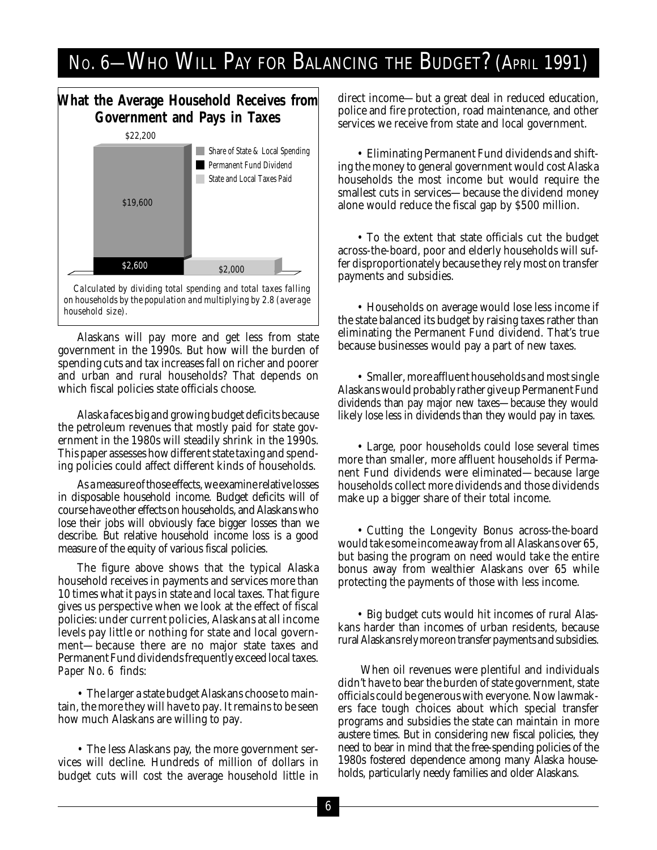# No. 6—WHO WILL PAY FOR BALANCING THE BUDGET? (APRIL 1991)

#### **What the Average Household Receives from Government and Pays in Taxes** \$2,600 \$19,600 \$2,000 Permanent Fund Dividend Share of State & Local Spending **State and Local Taxes Paid** \$22,200

*Calculated by dividing total spending and total taxes falling on households by the population and multiplying by 2.8 (average household size).*

Alaskans will pay more and get less from state government in the 1990s. But how will the burden of spending cuts and tax increases fall on richer and poorer and urban and rural households? That depends on which fiscal policies state officials choose.

Alaska faces big and growing budget deficits because the petroleum revenues that mostly paid for state government in the 1980s will steadily shrink in the 1990s. This paper assesses how different state taxing and spending policies could affect different kinds of households.

As a measure of those effects, we examine relative losses in disposable household income. Budget deficits will of course have other effects on households, and Alaskans who lose their jobs will obviously face bigger losses than we describe. But relative household income loss is a good measure of the equity of various fiscal policies.

The figure above shows that the typical Alaska household receives in payments and services more than 10 times what it pays in state and local taxes. That figure gives us perspective when we look at the effect of fiscal policies: under current policies, Alaskans at all income levels pay little or nothing for state and local government—because there are no major state taxes and Permanent Fund dividends frequently exceed local taxes. *Paper No. 6* finds:

• The larger a state budget Alaskans choose to maintain, the more they will have to pay. It remains to be seen how much Alaskans are willing to pay.

• The less Alaskans pay, the more government services will decline. Hundreds of million of dollars in budget cuts will cost the average household little in direct income—but a great deal in reduced education, police and fire protection, road maintenance, and other services we receive from state and local government.

• Eliminating Permanent Fund dividends and shifting the money to general government would cost Alaska households the most income but would require the smallest cuts in services—because the dividend money alone would reduce the fiscal gap by \$500 million.

• To the extent that state officials cut the budget across-the-board, poor and elderly households will suffer disproportionately because they rely most on transfer payments and subsidies.

• Households on average would lose less income if the state balanced its budget by raising taxes rather than eliminating the Permanent Fund dividend. That's true because businesses would pay a part of new taxes.

• Smaller, more affluent households and most single Alaskans would probably rather give up Permanent Fund dividends than pay major new taxes—because they would likely lose less in dividends than they would pay in taxes.

• Large, poor households could lose several times more than smaller, more affluent households if Permanent Fund dividends were eliminated—because large households collect more dividends and those dividends make up a bigger share of their total income.

• Cutting the Longevity Bonus across-the-board would take some income away from all Alaskans over 65, but basing the program on need would take the entire bonus away from wealthier Alaskans over 65 while protecting the payments of those with less income.

• Big budget cuts would hit incomes of rural Alaskans harder than incomes of urban residents, because rural Alaskans rely more on transfer payments and subsidies.

 When oil revenues were plentiful and individuals didn't have to bear the burden of state government, state officials could be generous with everyone. Now lawmakers face tough choices about which special transfer programs and subsidies the state can maintain in more austere times. But in considering new fiscal policies, they need to bear in mind that the free-spending policies of the 1980s fostered dependence among many Alaska households, particularly needy families and older Alaskans.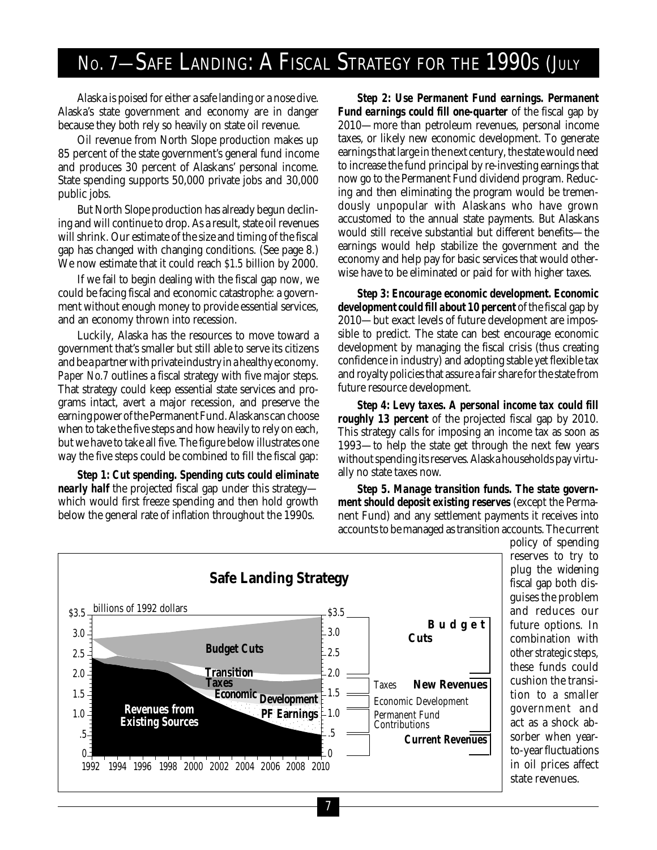# No. 7-SAFE LANDING: A FISCAL STRATEGY FOR THE 1990S (JULY

Alaska is poised for either a safe landing or a nose dive. Alaska's state government and economy are in danger because they both rely so heavily on state oil revenue.

Oil revenue from North Slope production makes up 85 percent of the state government's general fund income and produces 30 percent of Alaskans' personal income. State spending supports 50,000 private jobs and 30,000 public jobs.

But North Slope production has already begun declining and will continue to drop. As a result, state oil revenues will shrink. Our estimate of the size and timing of the fiscal gap has changed with changing conditions. (See page 8.) We now estimate that it could reach \$1.5 billion by 2000.

If we fail to begin dealing with the fiscal gap now, we could be facing fiscal and economic catastrophe: a government without enough money to provide essential services, and an economy thrown into recession.

Luckily, Alaska has the resources to move toward a government that's smaller but still able to serve its citizens and be a partner with private industry in a healthy economy. *Paper No.7* outlines a fiscal strategy with five major steps. That strategy could keep essential state services and programs intact, avert a major recession, and preserve the earning power of the Permanent Fund. Alaskans can choose when to take the five steps and how heavily to rely on each, but we have to take all five. The figure below illustrates one way the five steps could be combined to fill the fiscal gap:

*Step 1: Cut spending. Spending cuts could eliminate nearly half* the projected fiscal gap under this strategy which would first freeze spending and then hold growth below the general rate of inflation throughout the 1990s.

*Step 2: Use Permanent Fund earnings. Permanent Fund earnings could fill one-quarter* of the fiscal gap by 2010—more than petroleum revenues, personal income taxes, or likely new economic development. To generate earnings that large in the next century, the state would need to increase the fund principal by re-investing earnings that now go to the Permanent Fund dividend program. Reducing and then eliminating the program would be tremendously unpopular with Alaskans who have grown accustomed to the annual state payments. But Alaskans would still receive substantial but different benefits—the earnings would help stabilize the government and the economy and help pay for basic services that would otherwise have to be eliminated or paid for with higher taxes.

*Step 3: Encourage economic development. Economic development could fill about 10 percent* of the fiscal gap by 2010—but exact levels of future development are impossible to predict. The state can best encourage economic development by managing the fiscal crisis (thus creating confidence in industry) and adopting stable yet flexible tax and royalty policies that assure a fair share for the state from future resource development.

*Step 4: Levy taxes. A personal income tax could fill roughly 13 percent* of the projected fiscal gap by 2010. This strategy calls for imposing an income tax as soon as 1993—to help the state get through the next few years without spending its reserves. Alaska households pay virtually no state taxes now.

*Step 5. Manage transition funds. The state government should deposit existing reserves* (except the Permanent Fund) and any settlement payments it receives into accounts to be managed as transition accounts. The current



policy of spending reserves to try to plug the widening fiscal gap both disguises the problem and reduces our future options. In combination with other strategic steps, these funds could cushion the transition to a smaller government and act as a shock absorber when yearto-year fluctuations in oil prices affect state revenues.